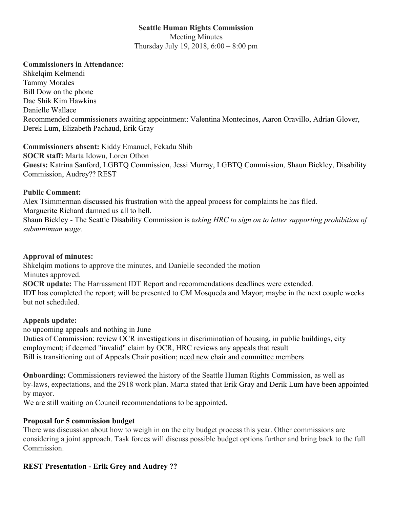# **Seattle Human Rights Commission**

Meeting Minutes Thursday July 19, 2018, 6:00 – 8:00 pm

### **Commissioners in Attendance:**

Shkelqim Kelmendi Tammy Morales Bill Dow on the phone Dae Shik Kim Hawkins Danielle Wallace Recommended commissioners awaiting appointment: Valentina Montecinos, Aaron Oravillo, Adrian Glover, Derek Lum, Elizabeth Pachaud, Erik Gray

**Commissioners absent:** Kiddy Emanuel, Fekadu Shib **SOCR staff:** Marta Idowu, Loren Othon **Guests:** Katrina Sanford, LGBTQ Commission, Jessi Murray, LGBTQ Commission, Shaun Bickley, Disability Commission, Audrey?? REST

### **Public Comment:**

Alex Tsimmerman discussed his frustration with the appeal process for complaints he has filed. Marguerite Richard damned us all to hell. Shaun Bickley - The Seattle Disability Commission is a*sking HRC to sign on to letter supporting prohibition of subminimum wage.*

### **Approval of minutes:**

Shkelqim motions to approve the minutes, and Danielle seconded the motion Minutes approved.

**SOCR update:** The Harrassment IDT Report and recommendations deadlines were extended. IDT has completed the report; will be presented to CM Mosqueda and Mayor; maybe in the next couple weeks but not scheduled.

## **Appeals update:**

no upcoming appeals and nothing in June

Duties of Commission: review OCR investigations in discrimination of housing, in public buildings, city employment; if deemed "invalid" claim by OCR, HRC reviews any appeals that result Bill is transitioning out of Appeals Chair position; need new chair and committee members

**Onboarding:** Commissioners reviewed the history of the Seattle Human Rights Commission, as well as by-laws, expectations, and the 2918 work plan. Marta stated that Erik Gray and Derik Lum have been appointed by mayor.

We are still waiting on Council recommendations to be appointed.

## **Proposal for 5 commission budget**

There was discussion about how to weigh in on the city budget process this year. Other commissions are considering a joint approach. Task forces will discuss possible budget options further and bring back to the full Commission.

## **REST Presentation - Erik Grey and Audrey ??**